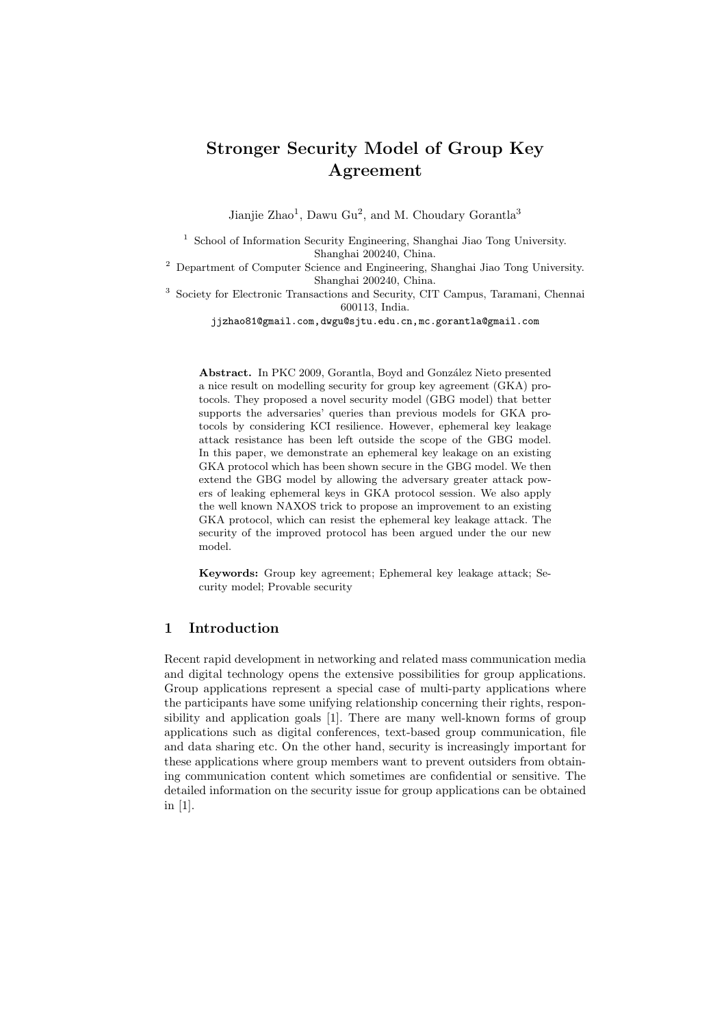Jianjie Zhao<sup>1</sup>, Dawu Gu<sup>2</sup>, and M. Choudary Gorantla<sup>3</sup>

<sup>1</sup> School of Information Security Engineering, Shanghai Jiao Tong University. Shanghai 200240, China.

<sup>2</sup> Department of Computer Science and Engineering, Shanghai Jiao Tong University. Shanghai 200240, China.

<sup>3</sup> Society for Electronic Transactions and Security, CIT Campus, Taramani, Chennai 600113, India.

jjzhao81@gmail.com,dwgu@sjtu.edu.cn,mc.gorantla@gmail.com

Abstract. In PKC 2009, Gorantla, Boyd and González Nieto presented a nice result on modelling security for group key agreement (GKA) protocols. They proposed a novel security model (GBG model) that better supports the adversaries' queries than previous models for GKA protocols by considering KCI resilience. However, ephemeral key leakage attack resistance has been left outside the scope of the GBG model. In this paper, we demonstrate an ephemeral key leakage on an existing GKA protocol which has been shown secure in the GBG model. We then extend the GBG model by allowing the adversary greater attack powers of leaking ephemeral keys in GKA protocol session. We also apply the well known NAXOS trick to propose an improvement to an existing GKA protocol, which can resist the ephemeral key leakage attack. The security of the improved protocol has been argued under the our new model.

**Keywords:** Group key agreement; Ephemeral key leakage attack; Security model; Provable security

# **1 Introduction**

Recent rapid development in networking and related mass communication media and digital technology opens the extensive possibilities for group applications. Group applications represent a special case of multi-party applications where the participants have some unifying relationship concerning their rights, responsibility and application goals [1]. There are many well-known forms of group applications such as digital conferences, text-based group communication, file and data sharing etc. On the other hand, security is increasingly important for these applications where group members want to prevent outsiders from obtaining communication content which sometimes are confidential or sensitive. The detailed information on the security issue for group applications can be obtained in [1].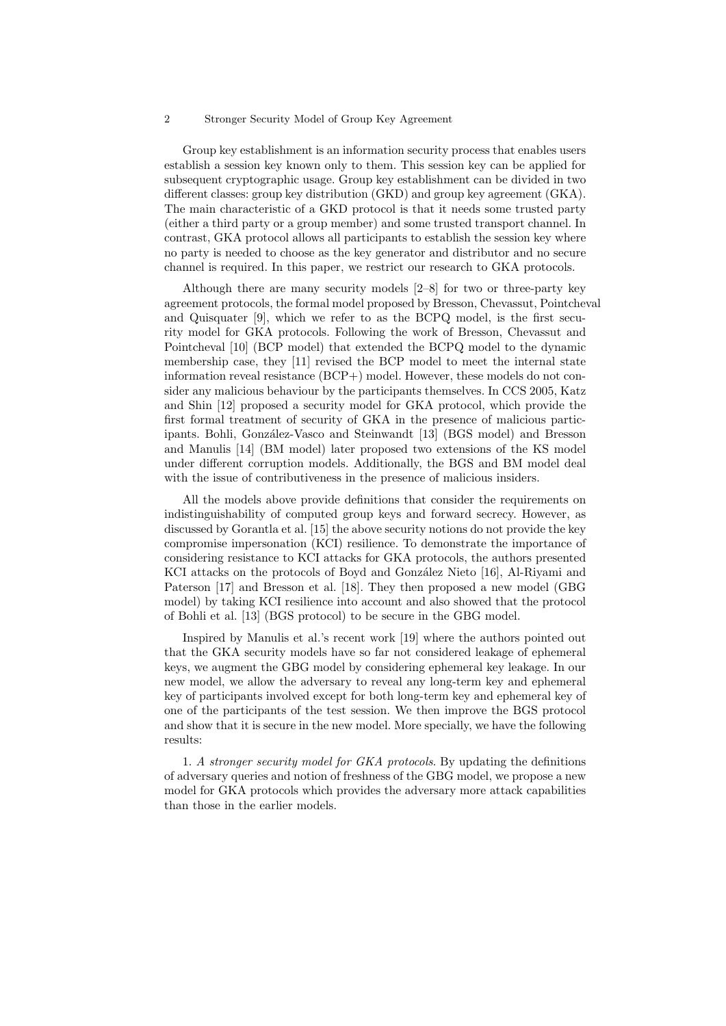Group key establishment is an information security process that enables users establish a session key known only to them. This session key can be applied for subsequent cryptographic usage. Group key establishment can be divided in two different classes: group key distribution (GKD) and group key agreement (GKA). The main characteristic of a GKD protocol is that it needs some trusted party (either a third party or a group member) and some trusted transport channel. In contrast, GKA protocol allows all participants to establish the session key where no party is needed to choose as the key generator and distributor and no secure channel is required. In this paper, we restrict our research to GKA protocols.

Although there are many security models [2–8] for two or three-party key agreement protocols, the formal model proposed by Bresson, Chevassut, Pointcheval and Quisquater [9], which we refer to as the BCPQ model, is the first security model for GKA protocols. Following the work of Bresson, Chevassut and Pointcheval [10] (BCP model) that extended the BCPQ model to the dynamic membership case, they [11] revised the BCP model to meet the internal state information reveal resistance (BCP+) model. However, these models do not consider any malicious behaviour by the participants themselves. In CCS 2005, Katz and Shin [12] proposed a security model for GKA protocol, which provide the first formal treatment of security of GKA in the presence of malicious participants. Bohli, González-Vasco and Steinwandt [13] (BGS model) and Bresson and Manulis [14] (BM model) later proposed two extensions of the KS model under different corruption models. Additionally, the BGS and BM model deal with the issue of contributiveness in the presence of malicious insiders.

All the models above provide definitions that consider the requirements on indistinguishability of computed group keys and forward secrecy. However, as discussed by Gorantla et al. [15] the above security notions do not provide the key compromise impersonation (KCI) resilience. To demonstrate the importance of considering resistance to KCI attacks for GKA protocols, the authors presented KCI attacks on the protocols of Boyd and González Nieto [16], Al-Riyami and Paterson [17] and Bresson et al. [18]. They then proposed a new model (GBG model) by taking KCI resilience into account and also showed that the protocol of Bohli et al. [13] (BGS protocol) to be secure in the GBG model.

Inspired by Manulis et al.'s recent work [19] where the authors pointed out that the GKA security models have so far not considered leakage of ephemeral keys, we augment the GBG model by considering ephemeral key leakage. In our new model, we allow the adversary to reveal any long-term key and ephemeral key of participants involved except for both long-term key and ephemeral key of one of the participants of the test session. We then improve the BGS protocol and show that it is secure in the new model. More specially, we have the following results:

1. *A stronger security model for GKA protocols*. By updating the definitions of adversary queries and notion of freshness of the GBG model, we propose a new model for GKA protocols which provides the adversary more attack capabilities than those in the earlier models.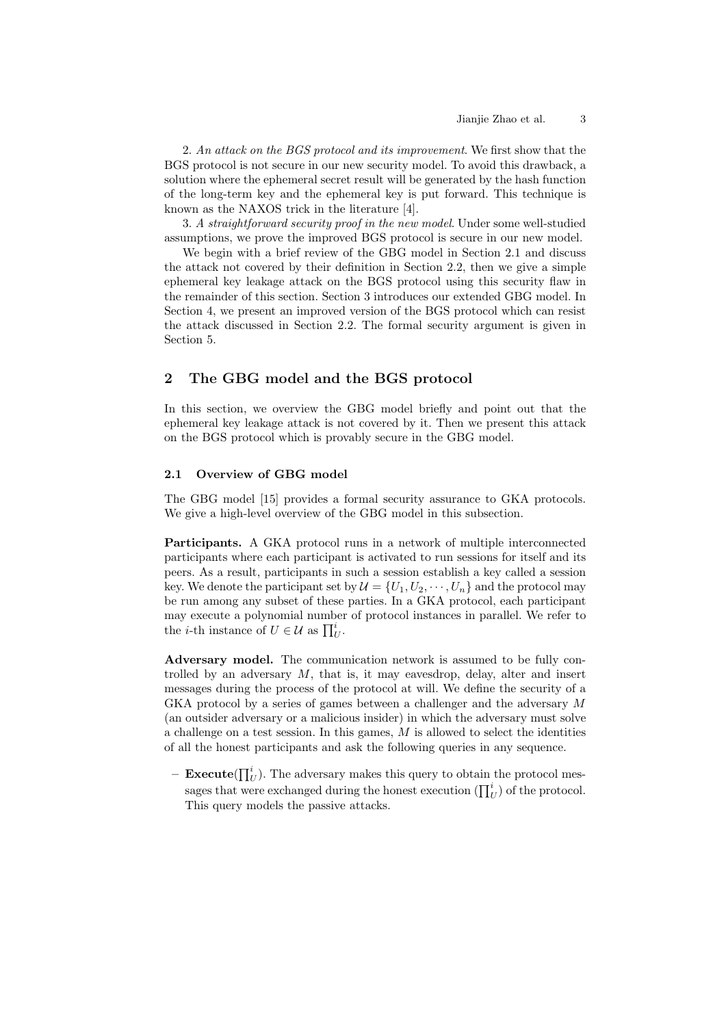2. *An attack on the BGS protocol and its improvement*. We first show that the BGS protocol is not secure in our new security model. To avoid this drawback, a solution where the ephemeral secret result will be generated by the hash function of the long-term key and the ephemeral key is put forward. This technique is known as the NAXOS trick in the literature [4].

3. *A straightforward security proof in the new model*. Under some well-studied assumptions, we prove the improved BGS protocol is secure in our new model.

We begin with a brief review of the GBG model in Section 2.1 and discuss the attack not covered by their definition in Section 2.2, then we give a simple ephemeral key leakage attack on the BGS protocol using this security flaw in the remainder of this section. Section 3 introduces our extended GBG model. In Section 4, we present an improved version of the BGS protocol which can resist the attack discussed in Section 2.2. The formal security argument is given in Section 5.

# **2 The GBG model and the BGS protocol**

In this section, we overview the GBG model briefly and point out that the ephemeral key leakage attack is not covered by it. Then we present this attack on the BGS protocol which is provably secure in the GBG model.

### **2.1 Overview of GBG model**

The GBG model [15] provides a formal security assurance to GKA protocols. We give a high-level overview of the GBG model in this subsection.

**Participants.** A GKA protocol runs in a network of multiple interconnected participants where each participant is activated to run sessions for itself and its peers. As a result, participants in such a session establish a key called a session key. We denote the participant set by  $\mathcal{U} = \{U_1, U_2, \cdots, U_n\}$  and the protocol may be run among any subset of these parties. In a GKA protocol, each participant may execute a polynomial number of protocol instances in parallel. We refer to peers. As a result, participants in<br>key. We denote the participant set<br>be run among any subset of these<br>may execute a polynomial number<br>the *i*-th instance of  $U \in \mathcal{U}$  as  $\prod_{U}^{i}$ .

**Adversary model.** The communication network is assumed to be fully controlled by an adversary  $M$ , that is, it may eavesdrop, delay, alter and insert messages during the process of the protocol at will. We define the security of a GKA protocol by a series of games between a challenger and the adversary M (an outsider adversary or a malicious insider) in which the adversary must solve a challenge on a test session. In this games,  $M$  is allowed to select the identities of all the honest participants and ask the following queries in any sequence. allenge on a test session. In this games,  $\hat{M}$  is allowed to sell the honest participants and ask the following queries in **Execute**( $\prod_{U}^{i}$ ). The adversary makes this query to obtain sages that were exchanged durin

**– Execute**( $\prod_{U}^{i}$ ). The adversary makes this query to obtain the protocol mes- $\binom{u}{U}$  of the protocol. This query models the passive attacks.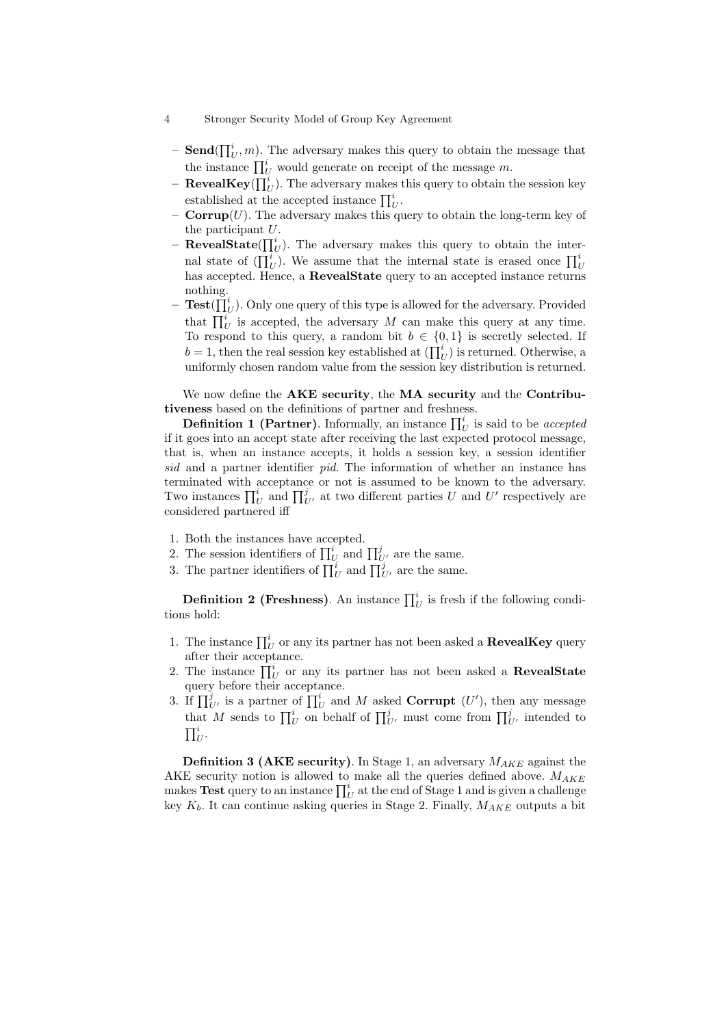- 4 Stronger Security Model of Group Key Agreement ∏
- **Send**( $\prod_{U}^{i}$ , *m*). The adversary makes this query to obtain the message that Stronger Sec<br> **Send**( $\prod_U^i$ , *m*).<br>
the instance  $\prod_U^i$ the instance  $\prod_{l}^{i}$  would generate on receipt of the message m. **Send**( $\prod_{U}^{i}$ , *m*). The adversary makes the instance  $\prod_{U}^{i}$  would generate on reconsident  $\text{RevealKey}(\prod_{U}^{i})$ . The adversary makes established at the accepted instance  $\prod_{U}^{i}$
- **RevealKey**( $\prod_U^i$ ). The adversary makes this query to obtain the session key  $_U^i.$
- **Corrup** $(U)$ . The adversary makes this query to obtain the long-term key of the participant  $U$ .
- $-$ **RevealState** $(\prod_{l=1}^{i}$ **alState**( $\prod_{U}^{i}$ ). The adversary makes this query to obtain the interestablished at the accepted instance  $\prod_U^i$ .<br> **Corrup**(*U*). The adversary makes this query to obtain the long-term key of<br>
the participant *U*.<br> **RevealState**( $\prod_U^i$ ). The adversary makes this query to obtain the inter has accepted. Hence, a **RevealState** query to an accepted instance returns nothing. nal stat<br>has acce<br>nothing<br>**Test**( $\prod_{i=1}^{n}$
- $-$  **Test** $(\bar{\prod}_{l}^{i}$  $U<sub>U</sub>$ ). Only one query of this type is allowed for the adversary. Provided  $\iota_U^i$  is accepted, the adversary M can make this query at any time. To respond to this query, a random bit  $b \in \{0,1\}$  is secretly selected. If **Test**( $\prod_{U}^{i}$ ). Only one query of this type is allowed<br>that  $\prod_{U}^{i}$  is accepted, the adversary M can mal<br>To respond to this query, a random bit  $b \in \{0, 1, 2, \ldots, n\}$ <br> $b = 1$ , then the real session key established a  $\binom{u}{U}$  is returned. Otherwise, a uniformly chosen random value from the session key distribution is returned.

We now define the **AKE security**, the **MA security** and the **Contributiveness** based on the definitions of partner and freshness. uniformly chosen random value from the session key distribution is returned.<br>We now define the **AKE security**, the **MA security** and the **Contribu-**<br>eness based on the definitions of partner and freshness.<br>**Definition 1 (** 

if it goes into an accept state after receiving the last expected protocol message,<br>that is, when an instance accepts, it holds a session key, a session identifier<br>sid and a partner identifier pid. The information of whet that is, when an instance accepts, it holds a session key, a session identifier *sid* and a partner identifier *pid*. The information of whether an instance has terminated with acceptance or not is assumed to be known to the adversary. *<sup>1</sup>* and  $\prod_{U}^{i}$  and  $\prod_{U}^{j}$  at two different parties *U* and *U'* respectively are onsidered partnered iff<br>
1. Both the instances have accepted.<br>
2. The session identifiers of  $\prod_{U}^{i}$  and  $\prod_{U}^{j}$  are the sam considered partnered iff onsidered partnered iff<br>3. The instances have accepted.<br>2. The session identifiers of  $\prod_{U}^{i}$  and  $\prod_{U}^{j}$ <br>3. The partner identifiers of  $\prod_{I}^{i}$  and  $\prod_{I}^{j}$ 

- 1. Both the instances have accepted.
- $\iota_U^i$  and  $\prod_{U'}^j$  are the same. Both the instances have accepted.<br>The session identifiers of  $\prod_{U}^{i}$  and  $\prod_{U'}^{j}$  are the partner identifiers of  $\prod_{U}^{i}$  and  $\prod_{U'}^{j}$  are **Definition 2 (Freshness)**. An instance  $\prod_{i=1}^{i}$
- $\iota_U^i$  and  $\prod_{U'}^j$  are the same.

 $\iota_U^i$  is fresh if the following conditions hold: **1. The instance 1.1** The instance  $\prod_{U}^{i}$  is fresh if the following conditions hold:<br>1. The instance  $\prod_{U}^{i}$  or any its partner has not been asked a **RevealKey** query

- after their acceptance. ions hold:<br>
1. The instance  $\prod_U^i$ <br>
after their accept<br>
2. The instance  $\prod_U^i$
- The instance  $\prod_U^i$  or any its partner has not been asked a **RevealState** query before their acceptance. 1. The instance  $\prod_U^i$  or any if<br>after their acceptance.<br>2. The instance  $\prod_U^i$  or any<br>query before their accepta<br>3. If  $\prod_{U'}^j$  is a partner of  $\prod_{U}^i$
- $\iota_U^i$  and M asked **Corrupt** (U'), then any message after their acceptance.<br>The instance  $\prod_U^i$  or any its partner<br>query before their acceptance.<br>If  $\prod_{U'}^{i}$  is a partner of  $\prod_U^i$  and M ask<br>that M sends to  $\prod_U^i$  on behalf of  $\prod_U^j$ *°* centrally its partner has not been asked a **RevealState** coeptance.<br> *of*  $\prod_{U}^{i}$  and *M* asked **Corrupt** (*U'*), then any message  $\prod_{U}^{i}$  on behalf of  $\prod_{U'}^{j}$ , must come from  $\prod_{U'}^{j}$  intended to  $\dot{i}$  $_{U}^{i}.$

**Definition 3 (AKE security)**. In Stage 1, an adversary  $M_{AKE}$  against the AKE security notion is allowed to make all the queries defined above.  $M_{AKE}$  $\prod_U^i$ .<br> **Definition 3 (AKE security)**<br>
AKE security notion is allowed to makes **Test** query to an instance  $\prod_U^i$  $\iota_U^i$  at the end of Stage 1 and is given a challenge key  $K_b$ . It can continue asking queries in Stage 2. Finally,  $M_{AKE}$  outputs a bit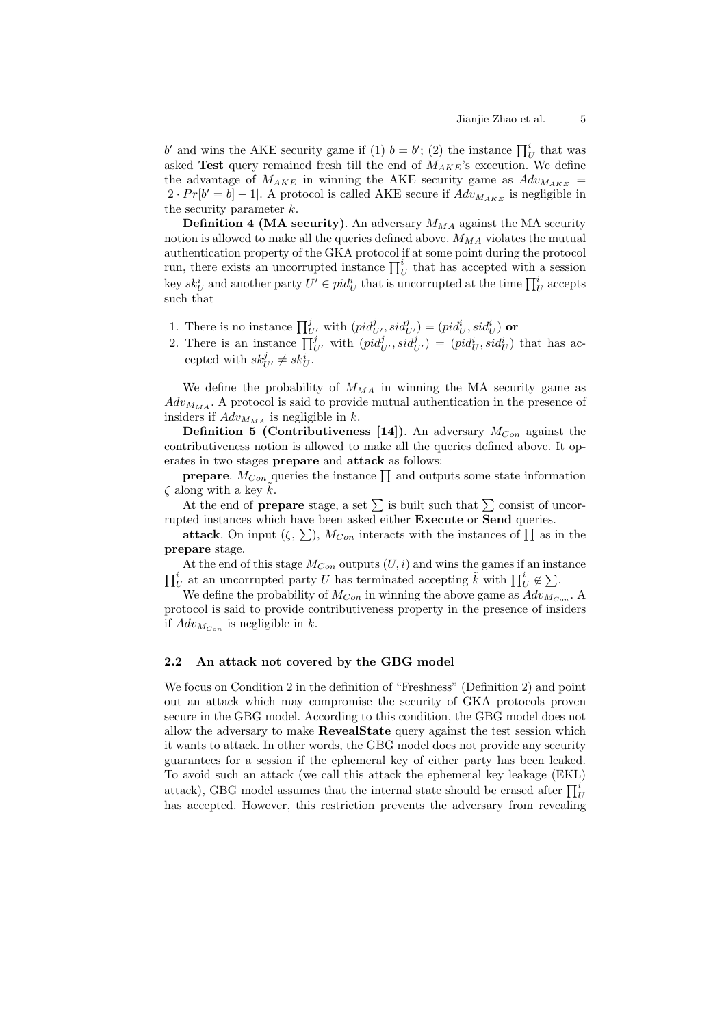Jianjie Zhao et al. 5<br> *b′* and wins the AKE security game if (1)  $b = b'$ ; (2) the instance  $\prod_{U}^{i}$  that was asked **Test** query remained fresh till the end of  $M_{AKE}$ 's execution. We define the advantage of  $M_{AKE}$  in winning the AKE security game as  $Adv_{M_{AKE}} =$  $|2 \cdot Pr[b' = b] - 1|$ . A protocol is called AKE secure if  $Adv_{M_{AKE}}$  is negligible in the security parameter  $k$ .

**Definition 4 (MA security)**. An adversary  $M_{MA}$  against the MA security notion is allowed to make all the queries defined above.  $M_{MA}$  violates the mutual authentication property of the GKA protocol if at some point during the protocol the security parameter k.<br> **Definition 4 (MA security)**. An adversary  $M_{MA}$  against the MA security<br>
notion is allowed to make all the queries defined above.  $M_{MA}$  violates the mutual<br>
authentication property of the GKA key  $sk_U^i$  and another party  $U' \in pid_U^i$  that is uncorrupted at the time  $\prod_U^i$  accepts n adversary  $M_{MA}$  against the MA<br>ies defined above.  $M_{MA}$  violates the<br>protocol if at some point during the<br>ance  $\prod_{U}^{i}$  that has accepted with<br>that is uncorrupted at the time  $\prod_{i}^{i}$ such that un, there exists an uncorrupted instance  $\prod_{U}^{i}$  that has accepted wey  $sk_U^i$  and another party  $U' \in pid_U^i$  that is uncorrupted at the time uch that<br>uch that<br>1. There is no instance  $\prod_{U'}^{j}$  with  $(pid_{U'}^j, sid_{U'}^j) = (pid_U^$ Equality and another party  $U'$ <br>
2. There is no instance  $\prod_{U'}^{j}$ <br>
2. There is an instance  $\prod_{U'}^{j}$ 

- 
- $j_{U'}$  with  $(pid_{U'}^{j}, sid_{U'}^{j}) = (pid_{U}^{i}, sid_{U}^{i})$  that has accepted with  $sk_{U'}^j \neq sk_U^i$ .

We define the probability of  $M_{MA}$  in winning the MA security game as  $Adv_{M_{MA}}$ . A protocol is said to provide mutual authentication in the presence of insiders if  $Adv_{M_{MA}}$  is negligible in k.

**Definition 5 (Contributiveness [14])**. An adversary  $M_{Con}$  against the contributiveness notion is allowed to make all the queries defined above. It operates in two stages **prepare** and **attack** as follows: ders if  $Adv_{M_{MA}}$  is negligible in k.<br>**Definition 5 (Contributiveness [14**<br>tributiveness notion is allowed to make<br>tes in two stages **prepare** and **attack** a<br>**prepare**.  $M_{Con}$  queries the instance  $\prod$ tributiveness notion is allowed to make all the queries defined above. It op-<br>tes in two stages **prepare** and **attack** as follows:<br>**prepare**.  $M_{Con}$  queries the instance  $\prod$  and outputs some state information<br>long with a

es the instance  $\prod$  and outputs some state information  $\zeta$  along with a key k.

rupted instances which have been asked either **Execute** or **Send** queries. the instance  $\prod$  and outputs some state in<br>stage, a set  $\sum$  is built such that  $\sum$  consist<br>e been asked either **Execute** or **Send** que<br>),  $M_{Con}$  interacts with the instances of  $\prod$ 

**attack**. On input  $(\zeta, \sum)$ ,  $M_{Con}$  interacts with the instances of  $\prod$  as in the **prepare** stage.

At the end of this stage  $M_{Con}$  outputs  $(U, i)$  and wins the games if an instance rupted instances which have been asked either **Execute** or **Send** queries.<br> **attack**. On input  $(\zeta, \sum)$ ,  $M_{Con}$  interacts with the instances of  $\prod$  as i<br> **prepare** stage.<br>
At the end of this stage  $M_{Con}$  outputs  $(U, i)$   $\dot{i}$ *<sup><i>t*</sup></sup> $\prod_{U}$  at an uncorrupted party *U* has terminated accepting *k* with  $\prod_{U}^{i}$  ∉ ∑.

We define the probability of  $M_{Con}$  in winning the above game as  $Adv_{M_{Con}}$ . A protocol is said to provide contributiveness property in the presence of insiders if  $Adv_{M_{Con}}$  is negligible in k.

## **2.2 An attack not covered by the GBG model**

We focus on Condition 2 in the definition of "Freshness" (Definition 2) and point out an attack which may compromise the security of GKA protocols proven secure in the GBG model. According to this condition, the GBG model does not allow the adversary to make **RevealState** query against the test session which it wants to attack. In other words, the GBG model does not provide any security guarantees for a session if the ephemeral key of either party has been leaked. To avoid such an attack (we call this attack the ephemeral key leakage (EKL) allow the adversary to make **RevealState** query against the test session which it wants to attack. In other words, the GBG model does not provide any security guarantees for a session if the ephemeral key of either party attack), GBG model assumes that the internal state should be erased after  $\prod_{U}^{i}$ has accepted. However, this restriction prevents the adversary from revealing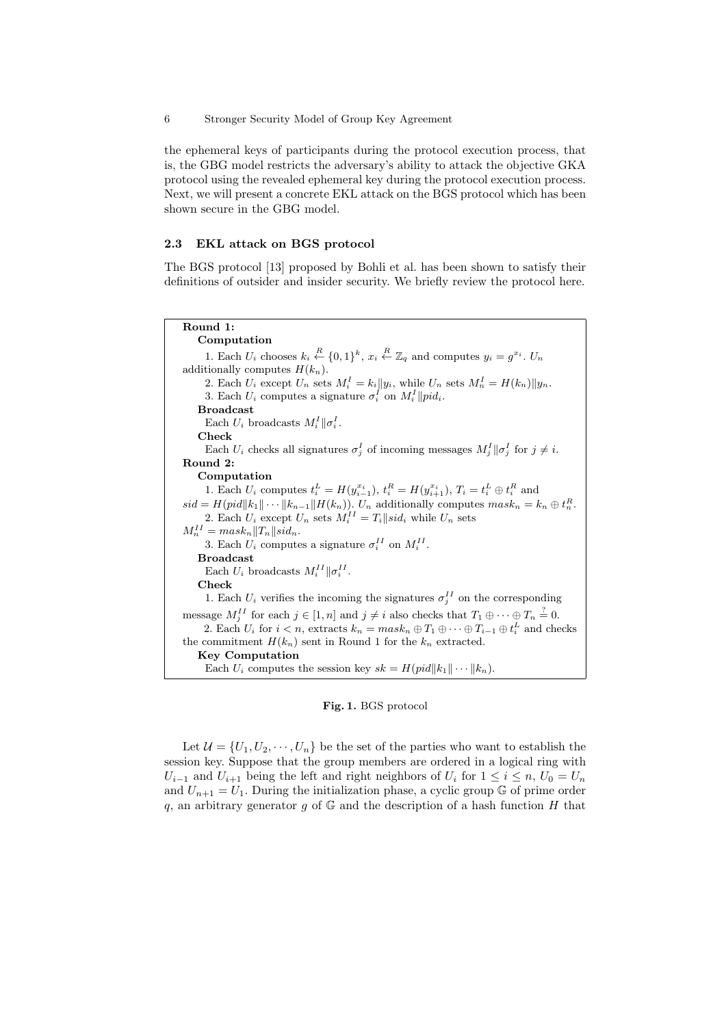the ephemeral keys of participants during the protocol execution process, that is, the GBG model restricts the adversary's ability to attack the objective GKA protocol using the revealed ephemeral key during the protocol execution process. Next, we will present a concrete EKL attack on the BGS protocol which has been shown secure in the GBG model.

## **2.3 EKL attack on BGS protocol**

The BGS protocol [13] proposed by Bohli et al. has been shown to satisfy their definitions of outsider and insider security. We briefly review the protocol here.

**Round 1: Computation** 1. Each  $U_i$  chooses  $k_i \stackrel{R}{\leftarrow} \{0,1\}^k$ ,  $x_i \stackrel{R}{\leftarrow} \mathbb{Z}_q$  and computes  $y_i = g^{x_i}$ .  $U_n$ additionally computes  $H(k_n)$ . 2. Each  $U_i$  except  $U_n$  sets  $M_i^I = k_i || y_i$ , while  $U_n$  sets  $M_n^I = H(k_n) || y_n$ . 3. Each  $U_i$  computes a signature  $\sigma_i^I$  on  $M_i^I$  ||pid<sub>i</sub>. **Broadcast** Each  $U_i$  broadcasts  $M_i^I || \sigma_i^I$ . **Check** Each  $U_i$  checks all signatures  $\sigma_j^I$  of incoming messages  $M_j^I || \sigma_j^I$  for  $j \neq i$ . **Round 2: Computation** 1. Each  $U_i$  computes  $t_i^L = H(y_{i-1}^{x_i}), t_i^R = H(y_{i+1}^{x_i}), T_i = t_i^L \oplus t_i^R$  and  $sid = H(pid||k_1|| \cdots ||k_{n-1}||H(k_n))$ .  $U_n$  additionally computes  $mask_n = k_n \oplus t_n^R$ . 2. Each  $U_i$  except  $U_n$  sets  $M_i^{II} = T_i ||sid_i$  while  $U_n$  sets  $M_n^{II} = mask_n ||T_n||sid_n.$ 3. Each  $U_i$  computes a signature  $\sigma_i^{II}$  on  $M_i^{II}$ . **Broadcast** Each  $U_i$  broadcasts  $M_i^{II} || \sigma_i^{II}$ . **Check** 1. Each  $U_i$  verifies the incoming the signatures  $\sigma_j^{II}$  on the corresponding message  $M_j^H$  for each  $j \in [1, n]$  and  $j \neq i$  also checks that  $T_1 \oplus \cdots \oplus T_n \stackrel{?}{=} 0$ . 2. Each  $U_i$  for  $i < n$ , extracts  $k_n = mask_n \oplus T_1 \oplus \cdots \oplus T_{i-1} \oplus t_i^L$  and checks the commitment  $H(k_n)$  sent in Round 1 for the  $k_n$  extracted. **Key Computation** Each  $U_i$  computes the session key  $sk = H(pid||k_1|| \cdots ||k_n)$ .

#### **Fig. 1.** BGS protocol

Let  $\mathcal{U} = \{U_1, U_2, \cdots, U_n\}$  be the set of the parties who want to establish the session key. Suppose that the group members are ordered in a logical ring with  $U_{i-1}$  and  $U_{i+1}$  being the left and right neighbors of  $U_i$  for  $1 \leq i \leq n$ ,  $U_0 = U_n$ and  $U_{n+1} = U_1$ . During the initialization phase, a cyclic group  $\mathbb G$  of prime order q, an arbitrary generator  $g$  of  $\mathbb G$  and the description of a hash function  $H$  that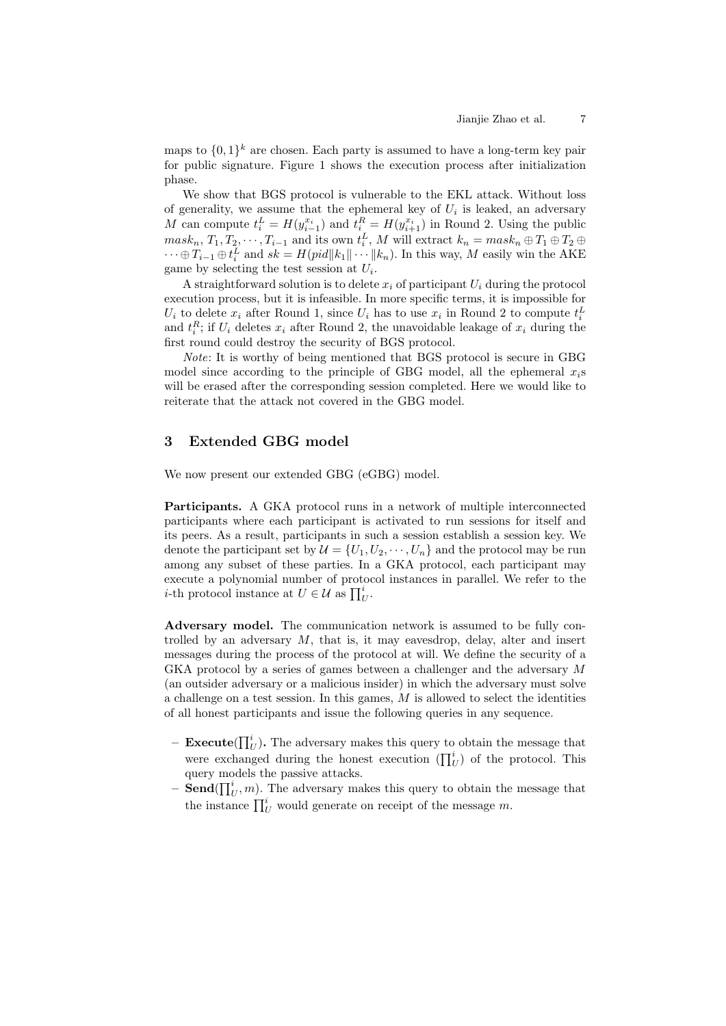maps to  $\{0,1\}^k$  are chosen. Each party is assumed to have a long-term key pair for public signature. Figure 1 shows the execution process after initialization phase.

We show that BGS protocol is vulnerable to the EKL attack. Without loss of generality, we assume that the ephemeral key of  $U_i$  is leaked, an adversary M can compute  $t_i^L = H(y_{i-1}^{x_i})$  and  $t_i^R = H(y_{i+1}^{x_i})$  in Round 2. Using the public  ${mask}_n, T_1, T_2, \cdots, T_{i-1}$  and its own  $t_i^L, M$  will extract  $k_n = {mask}_n \oplus T_1 \oplus T_2 \oplus$  $\dots \oplus T_{i-1} \oplus t_i^L$  and  $sk = H(pid||k_1|| \dots ||k_n)$ . In this way, M easily win the AKE game by selecting the test session at  $U_i$ .

A straightforward solution is to delete  $x_i$  of participant  $U_i$  during the protocol execution process, but it is infeasible. In more specific terms, it is impossible for  $U_i$  to delete  $x_i$  after Round 1, since  $U_i$  has to use  $x_i$  in Round 2 to compute  $t_i^L$ and  $t_i^R$ ; if  $U_i$  deletes  $x_i$  after Round 2, the unavoidable leakage of  $x_i$  during the first round could destroy the security of BGS protocol.

*Note*: It is worthy of being mentioned that BGS protocol is secure in GBG model since according to the principle of GBG model, all the ephemeral  $x_i$ s will be erased after the corresponding session completed. Here we would like to reiterate that the attack not covered in the GBG model.

# **3 Extended GBG model**

We now present our extended GBG (eGBG) model.

**Participants.** A GKA protocol runs in a network of multiple interconnected participants where each participant is activated to run sessions for itself and its peers. As a result, participants in such a session establish a session key. We denote the participant set by  $\mathcal{U} = \{U_1, U_2, \cdots, U_n\}$  and the protocol may be run among any subset of these parties. In a GKA protocol, each participant may execute a polynomial number of protocol instances in parallel. We refer to the its peers. As a result, participants in<br>denote the participant set by  $\mathcal{U} = \{U_1$ <br>among any subset of these parties. I<br>execute a polynomial number of prot<br>*i*-th protocol instance at  $U \in \mathcal{U}$  as  $\prod_{i=1}^{n}$  $_{U}^{i}.$ 

**Adversary model.** The communication network is assumed to be fully controlled by an adversary  $M$ , that is, it may eavesdrop, delay, alter and insert messages during the process of the protocol at will. We define the security of a GKA protocol by a series of games between a challenger and the adversary  $M$ (an outsider adversary or a malicious insider) in which the adversary must solve ∏a challenge on a test session. In this games,  $M$  is allowed to select the identities of all honest participants and issue the following queries in any sequence.

- $-$  **Execute** $(\prod_l^i$  $\binom{n}{U}$ . The adversary makes this query to obtain the message that allenge on a test session. In this games,  $M$  is allowed to select the identities<br>ll honest participants and issue the following queries in any sequence.<br>**Execute**( $\prod_{U}^{i}$ ). The adversary makes this query to obtain the query models the passive attacks.  $\begin{aligned} \textbf{Execute}(\prod_{U}^{t}).\ \text{were exchange} \ \text{query models}\ \text{t1} \ \textbf{Send}(\prod_{U}^{i},m). \ \text{the instance } \prod_{U}^{i} \end{aligned}$
- $-$  **Send** $(\prod_l^i$  $_{U}^{i}$ , *m*). The adversary makes this query to obtain the message that the instance  $\prod_{l}^{i}$  would generate on receipt of the message m.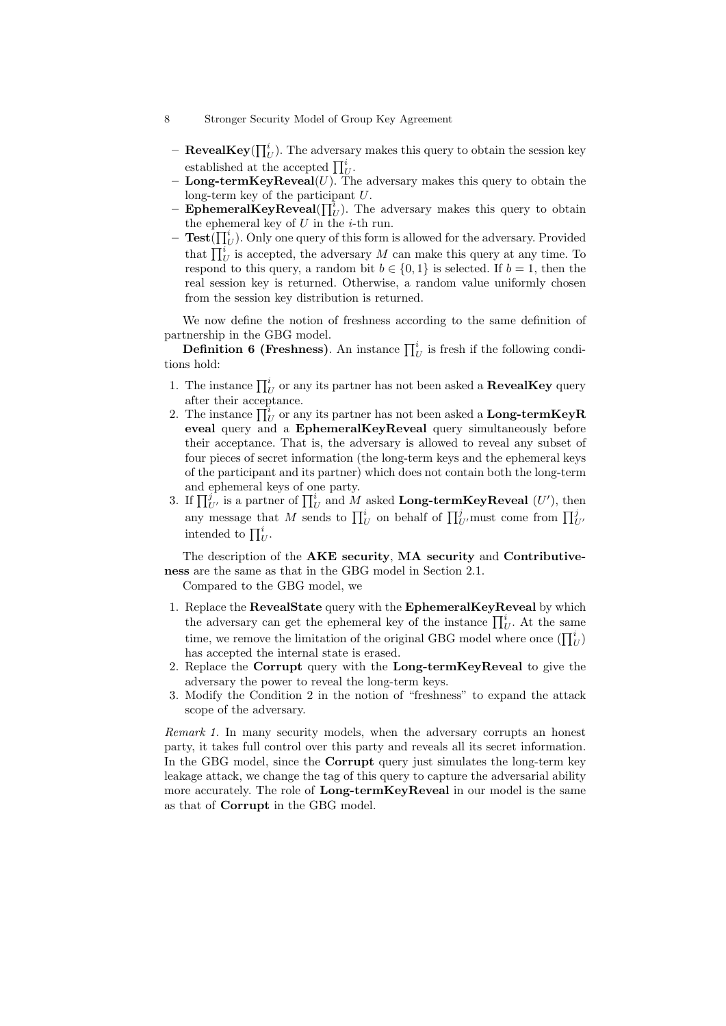- 8 Stronger Security Model of Group Key Agreement
- **RevealKey**( $\prod_U^i$ ). The adversary makes this query to obtain the session key Stronger Security Model of G<br>**RevealKey**( $\prod_{U}^{i}$ ). The adverse established at the accepted  $\prod_{I}^{i}$  $_{U}^{i}.$ lve
	- $\sim$  **Long-termKeyReveal**(*U*). The adversary makes this query to obtain the long-term key of the participant  $U$ .
	- $-$  **EphemeralKeyReveal**( $\prod_l$  $\binom{u}{U}$ . The adversary makes this query to obtain the ephemeral key of  $U$  in the *i*-th run.
- $-$  **Test** $\overline{(\prod_l^i)}$  $U<sub>U</sub>$ ). Only one query of this form is allowed for the adversary. Provided long-ter<br>Ephem<br>the ephen<br>Test( $\prod_i$  $i_U^i$  is accepted, the adversary M can make this query at any time. To respond to this query, a random bit  $b \in \{0, 1\}$  is selected. If  $b = 1$ , then the real session key is returned. Otherwise, a random value uniformly chosen from the session key distribution is returned.

We now define the notion of freshness according to the same definition of partnership in the GBG model. Frequence Treat session key is returned. Otherwise, a random value uniformly chosen<br>from the session key distribution is returned.<br>We now define the notion of freshness according to the same definition of<br>thership in the

tions hold: We now define the notion of freshness according to the same definition of partnership in the GBG model.<br> **Definition 6 (Freshness)**. An instance  $\prod_U^i$  is fresh if the following conditions hold:<br>
1. The instance  $\prod_U^i$ 

- after their acceptance. **Definition 6 (F**<br>ions hold:<br>1. The instance  $\prod_{l=1}^{i}$ <br>after their accep<br>2. The instance  $\prod_{l=1}^{i}$
- $\frac{v}{U}$  or any its partner has not been asked a **Long-termKeyR eveal** query and a **EphemeralKeyReveal** query simultaneously before their acceptance. That is, the adversary is allowed to reveal any subset of four pieces of secret information (the long-term keys and the ephemeral keys of the participant and its partner) which does not contain both the long-term and ephemeral keys of one party. their acceptance. That is, the adversary is allowed to reveal any subset of<br>four pieces of secret information (the long-term keys and the ephemeral keys<br>of the participant and its partner) which does not contain both the four pieces of secret information (the long-term keys and the ephemeral key<br>of the participant and its partner) which does not contain both the long-term<br>and ephemeral keys of one party.<br>If  $\prod_{U'}^{j}$  is a partner of  $\prod_{$
- $U$  on behan or  $\prod_{U'}$  must come nom  $\prod_{U'}$ of the participa<br>and ephemeral<br>If  $\prod_{U'}^{j}$  is a par<br>any message the<br>intended to  $\prod_{I}^{j}$  $_{U}^{i}.$

The description of the **AKE security**, **MA security** and **Contributiveness** are the same as that in the GBG model in Section 2.1.

Compared to the GBG model, we

- 1. Replace the **RevealState** query with the **EphemeralKeyReveal** by which The description of the **AKE** security, MA security and Contributive-<br>
s are the same as that in the GBG model in Section 2.1.<br>
Compared to the GBG model, we<br>
Replace the **RevealState** query with the **EphemeralKeyReveal** b the same as that in the GBG model in Section 2.1.<br>Compared to the GBG model, we<br>Replace the **RevealState** query with the **EphemeralKeyReveal** by which<br>the adversary can get the ephemeral key of the instance  $\prod_{U}^{i}$ . At  $\binom{v}{U}$ has accepted the internal state is erased.
- 2. Replace the **Corrupt** query with the **Long-termKeyReveal** to give the adversary the power to reveal the long-term keys.
- 3. Modify the Condition 2 in the notion of "freshness" to expand the attack scope of the adversary.

*Remark 1.* In many security models, when the adversary corrupts an honest party, it takes full control over this party and reveals all its secret information. In the GBG model, since the **Corrupt** query just simulates the long-term key leakage attack, we change the tag of this query to capture the adversarial ability more accurately. The role of **Long-termKeyReveal** in our model is the same as that of **Corrupt** in the GBG model.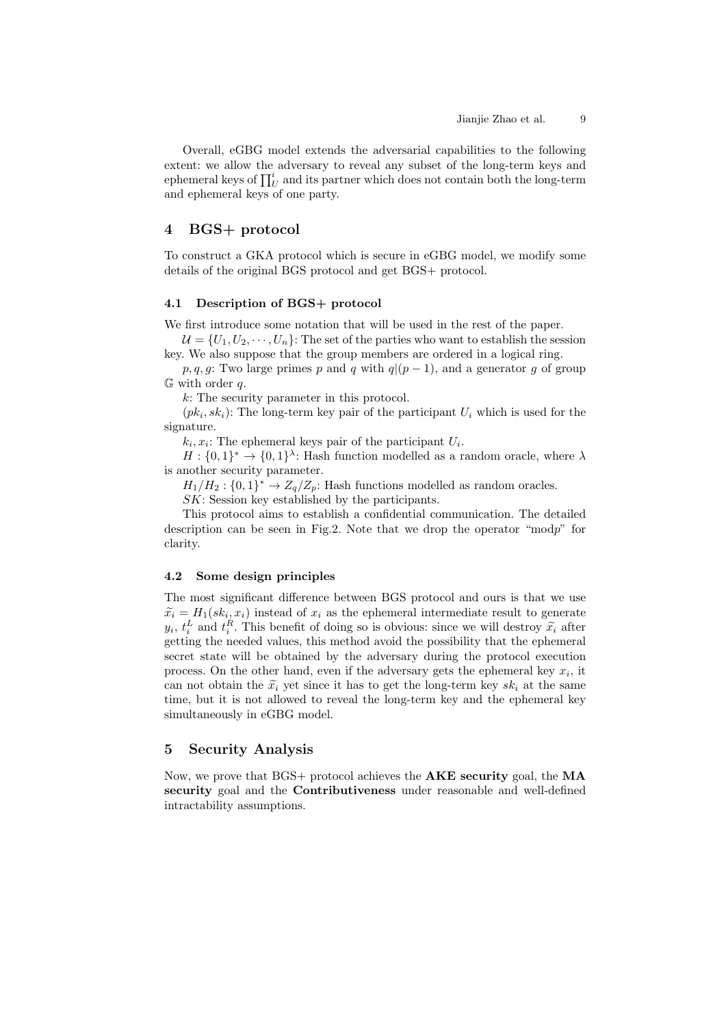Overall, eGBG model extends the adversarial capabilities to the following extent: we allow the adversary to reveal any subset of the long-term keys and Overall, eGBG n<br>extent: we allow the<br>ephemeral keys of  $\prod_{l}^{t}$  $\iota_U^i$  and its partner which does not contain both the long-term and ephemeral keys of one party.

# **4 BGS+ protocol**

To construct a GKA protocol which is secure in eGBG model, we modify some details of the original BGS protocol and get BGS+ protocol.

### **4.1 Description of BGS+ protocol**

We first introduce some notation that will be used in the rest of the paper.

 $\mathcal{U} = \{U_1, U_2, \cdots, U_n\}$ : The set of the parties who want to establish the session key. We also suppose that the group members are ordered in a logical ring.

*p, q, g*: Two large primes *p* and *q* with  $q|(p-1)$ , and a generator *g* of group  $G$  with order q.

: The security parameter in this protocol.

 $(pk<sub>i</sub>, sk<sub>i</sub>)$ : The long-term key pair of the participant  $U<sub>i</sub>$  which is used for the signature.

 $k_i, x_i$ : The ephemeral keys pair of the participant  $U_i$ .

 $H: \{0,1\}^* \to \{0,1\}^{\lambda}$ : Hash function modelled as a random oracle, where  $\lambda$ is another security parameter.

 $H_1/H_2$ :  $\{0,1\}^* \to Z_q/Z_p$ : Hash functions modelled as random oracles.

SK: Session key established by the participants.

This protocol aims to establish a confidential communication. The detailed description can be seen in Fig.2. Note that we drop the operator "modp" for clarity.

#### **4.2 Some design principles**

The most significant difference between BGS protocol and ours is that we use **4.2** Some design principles<br>The most significant difference between BGS protocol and ours is that we use<br> $\tilde{x}_i = H_1(sk_i, x_i)$  instead of  $x_i$  as the ephemeral intermediate result to generate **4.2 Some design principles**<br>
The most significant difference between BGS protocol and ours is that we use<br>  $\tilde{x}_i = H_1(sk_i, x_i)$  instead of  $x_i$  as the ephemeral intermediate result to generate<br>  $y_i, t_i^L$  and  $t_i^R$ . This b getting the needed values, this method avoid the possibility that the ephemeral secret state will be obtained by the adversary during the protocol execution process. On the other hand, even if the adversary gets the ephemeral key  $x_i$ , it can not obtain the  $\tilde{x}_i$  yet since it has to get the long-term key  $sk_i$  at the same time, but it is not allowed to reveal the long-term key and the ephemeral key simultaneously in eGBG model.

# **5 Security Analysis**

Now, we prove that BGS+ protocol achieves the **AKE security** goal, the **MA security** goal and the **Contributiveness** under reasonable and well-defined intractability assumptions.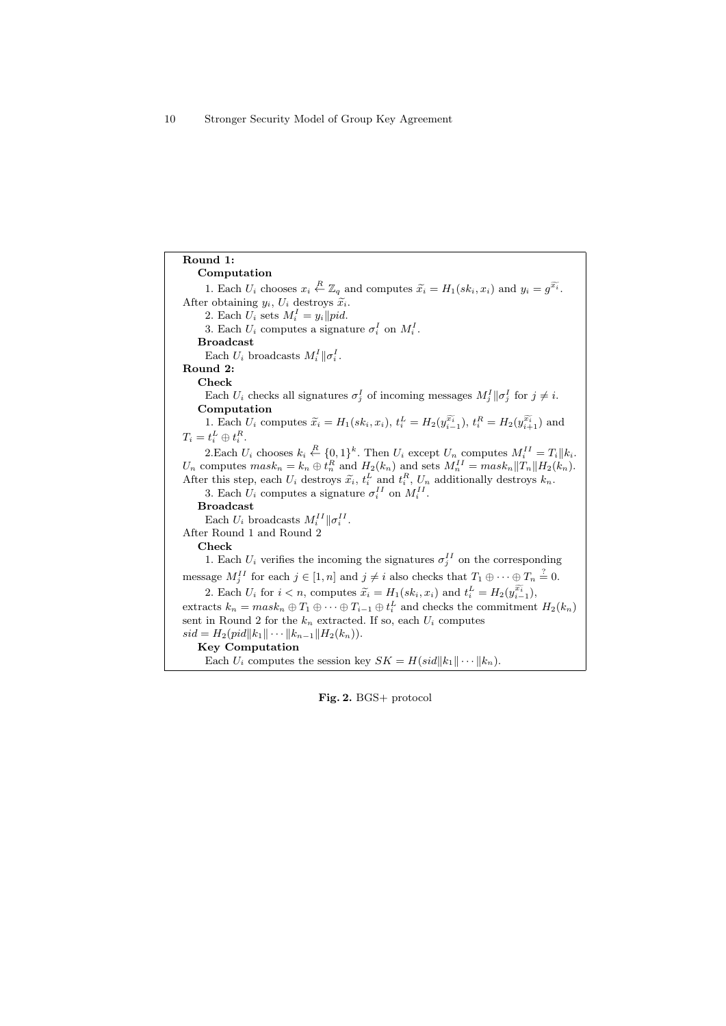**Round 1: Computation** 1. Each  $U_i$  chooses  $x_i \stackrel{R}{\leftarrow} \mathbb{Z}_q$  and computes  $\widetilde{x_i} = H_1(kk_i, x_i)$  and  $y_i = g$  $\overline{\widetilde{x_i}}$ . After obtaining  $y_i$ ,  $U_i$  destroys  $\widetilde{x}_i$ . 2. Each  $U_i$  sets  $M_i^I = y_i || pid.$ 3. Each  $U_i$  computes a signature  $\sigma_i^I$  on  $M_i^I$ . **Broadcast** Each  $U_i$  broadcasts  $M_i^I || \sigma_i^I$ . **Round 2: Check** Each  $U_i$  checks all signatures  $\sigma_j^I$  of incoming messages  $M_j^I || \sigma_j^I$  for  $j \neq i$ . **Computation** Each  $U_i$  checks all signatures  $\sigma_j^I$  of incoming messages  $M_j^I || \sigma_j^I$  for  $j \neq i$ .<br> **Computation**<br>
1. Each  $U_i$  computes  $\widetilde{x}_i = H_1(sk_i, x_i)$ ,  $t_i^L = H_2(y_{i-1}^{\widetilde{x}_i})$ ,  $t_i^R = H_2(y_{i+1}^{\widetilde{x}_i})$  and  $T_i = t_i^L \oplus t_i^R.$ 2.Each  $U_i$  chooses  $k_i \stackrel{R}{\leftarrow} \{0,1\}^k$ . Then  $U_i$  except  $U_n$  computes  $M_i^{II} = T_i || k_i$ .  $U_n$  computes  ${mask}_n = k_n \oplus t_n^R$  and  $H_2(k_n)$  and sets  $M_n^{II} = {mask}_n ||T_n|| H_2(k_n)$ . After this step, each  $U_i$  destroys  $\tilde{x}_i$ ,  $t_i^L$  and  $t_i^R$ ,  $U_n$  additionally destroys  $k_n$ . 3. Each  $U_i$  computes a signature  $\sigma_i^{II}$  on  $M_i^{II}$ . **Broadcast** Each  $U_i$  broadcasts  $M_i^{II} || \sigma_i^{II}$ . After Round 1 and Round 2 **Check** 1. Each  $U_i$  verifies the incoming the signatures  $\sigma_j^{II}$  on the corresponding message  $M_j^{II}$  for each  $j \in [1, n]$  and  $j \neq i$  also checks that  $T_1 \oplus \cdots \oplus T_n \stackrel{?}{=} 0$ . 2. Each  $U_i$  for  $i < n$ , computes  $\widetilde{x}_i = H_1(kk_i, x_i)$  and  $t_i^L = H_2(y_i^{\widetilde{x}_i})$ ,  $\overset{\text{ess}}{\oplus}$ extracts  $k_n = mask_n \oplus T_1 \oplus \cdots \oplus T_{i-1} \oplus t_i^L$  and checks the commitment  $H_2(k_n)$ sent in Round 2 for the  $k_n$  extracted. If so, each  $U_i$  computes  $sid = H_2(pid||k_1|| \cdots ||k_{n-1}||H_2(k_n)).$ **Key Computation** Each  $U_i$  computes the session key  $SK = H(sid||k_1|| \cdots ||k_n)$ .

**Fig. 2.** BGS+ protocol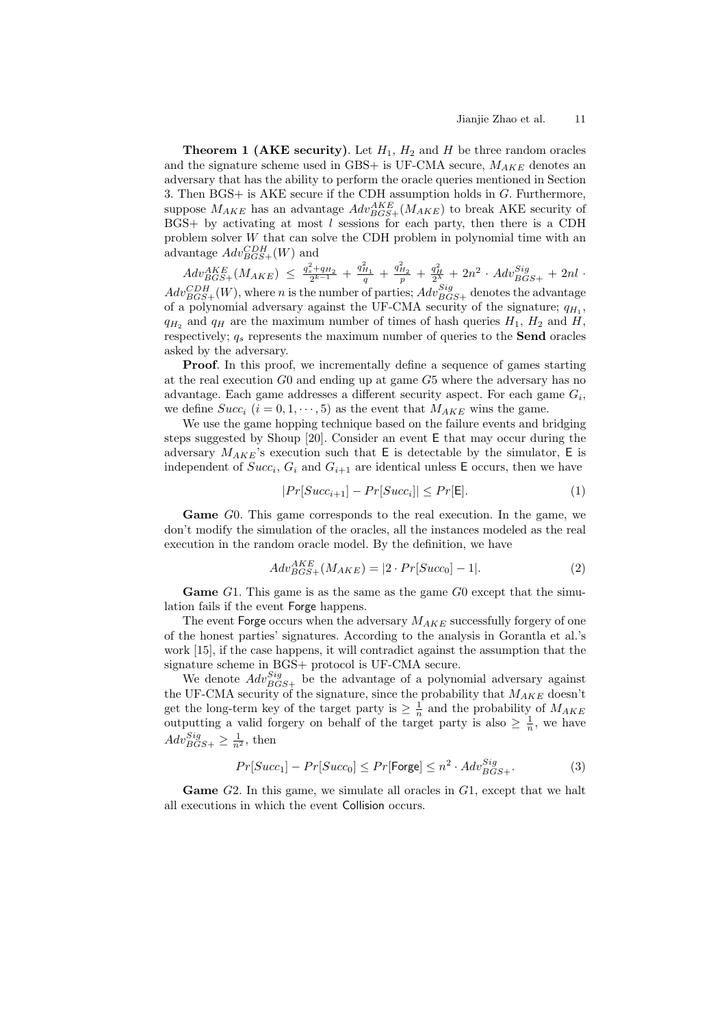**Theorem 1 (AKE security).** Let  $H_1$ ,  $H_2$  and  $H$  be three random oracles and the signature scheme used in GBS+ is UF-CMA secure,  $M_{AKE}$  denotes an adversary that has the ability to perform the oracle queries mentioned in Section 3. Then  $BGS+$  is AKE secure if the CDH assumption holds in  $G$ . Furthermore, suppose  $M_{AKE}$  has an advantage  $Adv_{BGS+}^{AKE}(M_{AKE})$  to break AKE security of  $BGS+$  by activating at most l sessions for each party, then there is a CDH problem solver  $W$  that can solve the CDH problem in polynomial time with an advantage  $Adv_{BGS+}^{CDH}(W)$  and

 $Adv_{BGS+}^{AKE}(M_{AKE}) \leq \frac{q_s^2+q_{H_2}}{2^{k-1}} + \frac{q_{H_1}^2}{q} + \frac{q_{H_2}^2}{p} + \frac{q_H^2}{2^{\lambda}} + 2n^2 \cdot Adv_{BGS+}^{Sig} + 2nl \cdot$  $Adv_{BGS+}^{CDH}(W)$ , where *n* is the number of parties;  $Adv_{BGS+}^{Sig}$  denotes the advantage of a polynomial adversary against the UF-CMA security of the signature;  $q_{H_1}$ ,  $q_{H_2}$  and  $q_H$  are the maximum number of times of hash queries  $H_1$ ,  $H_2$  and  $H$ , respectively;  $q_s$  represents the maximum number of queries to the **Send** oracles asked by the adversary.

**Proof.** In this proof, we incrementally define a sequence of games starting at the real execution  $G_0$  and ending up at game  $G_5$  where the adversary has no advantage. Each game addresses a different security aspect. For each game  $G_i$ , we define  $Succ_i$   $(i = 0, 1, \dots, 5)$  as the event that  $M_{AKE}$  wins the game.

We use the game hopping technique based on the failure events and bridging steps suggested by Shoup [20]. Consider an event E that may occur during the adversary  $M_{AKE}$ 's execution such that E is detectable by the simulator, E is independent of  $Succ_i$ ,  $G_i$  and  $G_{i+1}$  are identical unless E occurs, then we have

$$
|Pr[Succ_{i+1}] - Pr[Succ_i]| \le Pr[\mathsf{E}]. \tag{1}
$$

**Game** G0. This game corresponds to the real execution. In the game, we don't modify the simulation of the oracles, all the instances modeled as the real execution in the random oracle model. By the definition, we have

$$
Adv_{BGS+}^{AKE}(M_{AKE}) = |2 \cdot Pr[Succ_0] - 1|.
$$
 (2)

**Game**  $G1$ . This game is as the same as the game  $G0$  except that the simulation fails if the event Forge happens.

The event Forge occurs when the adversary  $M_{AKE}$  successfully forgery of one of the honest parties' signatures. According to the analysis in Gorantla et al.'s work [15], if the case happens, it will contradict against the assumption that the signature scheme in BGS+ protocol is UF-CMA secure.

We denote  $Adv_{BGS+}^{Sig}$  be the advantage of a polynomial adversary against the UF-CMA security of the signature, since the probability that  $M_{AKE}$  doesn't get the long-term key of the target party is  $\geq \frac{1}{n}$  and the probability of  $M_{AKE}$ outputting a valid forgery on behalf of the target party is also  $\geq \frac{1}{n}$ , we have  $Adv_{BGS+}^{Sig} \geq \frac{1}{n^2}$ , then

$$
Pr[Succ_1] - Pr[Succ_0] \le Pr[\text{Forge}] \le n^2 \cdot Adv_{BGS+}^{Sig}.
$$
 (3)

**Game** G2. In this game, we simulate all oracles in G1, except that we halt all executions in which the event Collision occurs.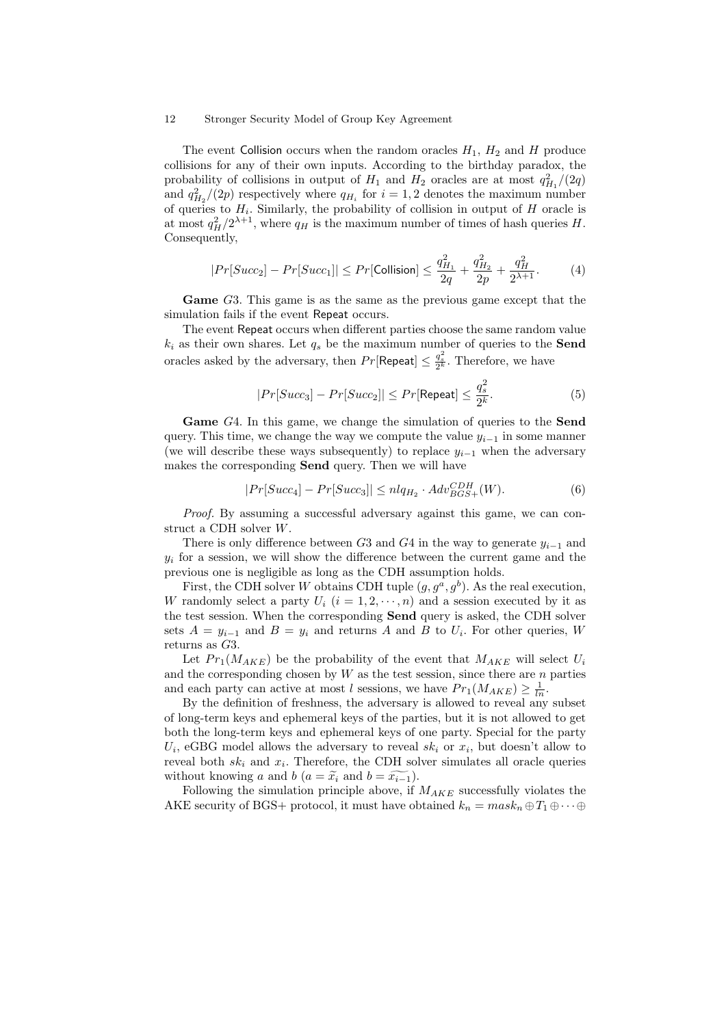The event Collision occurs when the random oracles  $H_1$ ,  $H_2$  and  $H$  produce collisions for any of their own inputs. According to the birthday paradox, the probability of collisions in output of  $H_1$  and  $H_2$  oracles are at most  $q_{H_1}^2/(2q)$ and  $q_{H_2}^2/(2p)$  respectively where  $q_{H_i}$  for  $i = 1, 2$  denotes the maximum number of queries to  $H_i$ . Similarly, the probability of collision in output of  $H$  oracle is at most  $q_H^2/2^{\lambda+1}$ , where  $q_H$  is the maximum number of times of hash queries H. Consequently,

$$
|Pr[Succ_2] - Pr[Succ_1]| \le Pr[\text{Collision}] \le \frac{q_{H_1}^2}{2q} + \frac{q_{H_2}^2}{2p} + \frac{q_H^2}{2^{\lambda+1}}.\tag{4}
$$

Game G3. This game is as the same as the previous game except that the simulation fails if the event Repeat occurs.

The event Repeat occurs when different parties choose the same random value  $k_i$  as their own shares. Let  $q_s$  be the maximum number of queries to the **Send** oracles asked by the adversary, then  $Pr[\mathsf{Repeat}] \leq \frac{q_s^2}{2^k}$ . Therefore, we have

$$
|Pr[Succ_3] - Pr[Succ_2]| \le Pr[\text{Repeat}] \le \frac{q_s^2}{2^k}.
$$
 (5)

**Game** G4. In this game, we change the simulation of queries to the **Send** query. This time, we change the way we compute the value  $y_{i-1}$  in some manner (we will describe these ways subsequently) to replace  $y_{i-1}$  when the adversary makes the corresponding **Send** query. Then we will have

$$
|Pr[Succ_4] - Pr[Succ_3]| \le nlq_{H_2} \cdot Adv_{BGS+}^{CDH}(W). \tag{6}
$$

*Proof.* By assuming a successful adversary against this game, we can construct a CDH solver  $W$ .

There is only difference between  $G_3$  and  $G_4$  in the way to generate  $y_{i-1}$  and  $y_i$  for a session, we will show the difference between the current game and the previous one is negligible as long as the CDH assumption holds.

First, the CDH solver W obtains CDH tuple  $(g, g^a, g^b)$ . As the real execution, W randomly select a party  $U_i$   $(i = 1, 2, \dots, n)$  and a session executed by it as the test session. When the corresponding **Send** query is asked, the CDH solver sets  $A = y_{i-1}$  and  $B = y_i$  and returns A and B to  $U_i$ . For other queries, W returns as  $G3$ .

Let  $Pr_1(M_{AKE})$  be the probability of the event that  $M_{AKE}$  will select  $U_i$ and the corresponding chosen by  $W$  as the test session, since there are  $n$  parties and each party can active at most *l* sessions, we have  $Pr_1(M_{AKE}) \ge \frac{1}{ln}$ .

By the definition of freshness, the adversary is allowed to reveal any subset of long-term keys and ephemeral keys of the parties, but it is not allowed to get both the long-term keys and ephemeral keys of one party. Special for the party  $U_i$ , eGBG model allows the adversary to reveal  $sk_i$  or  $x_i$ , but doesn't allow to reveal both  $sk_i$  and  $x_i$ . Therefore, the CDH solver simulates all oracle queries of long-term keys and ephemeral keys of the part both the long-term keys and ephemeral keys of  $U_i$ , eGBG model allows the adversary to reveal reveal both  $sk_i$  and  $x_i$ . Therefore, the CDH solwithout knowing a and b  $(a = \til$ 

Following the simulation principle above, if  $M_{AKE}$  successfully violates the AKE security of BGS+ protocol, it must have obtained  $k_n = mask_n \oplus T_1 \oplus \cdots \oplus$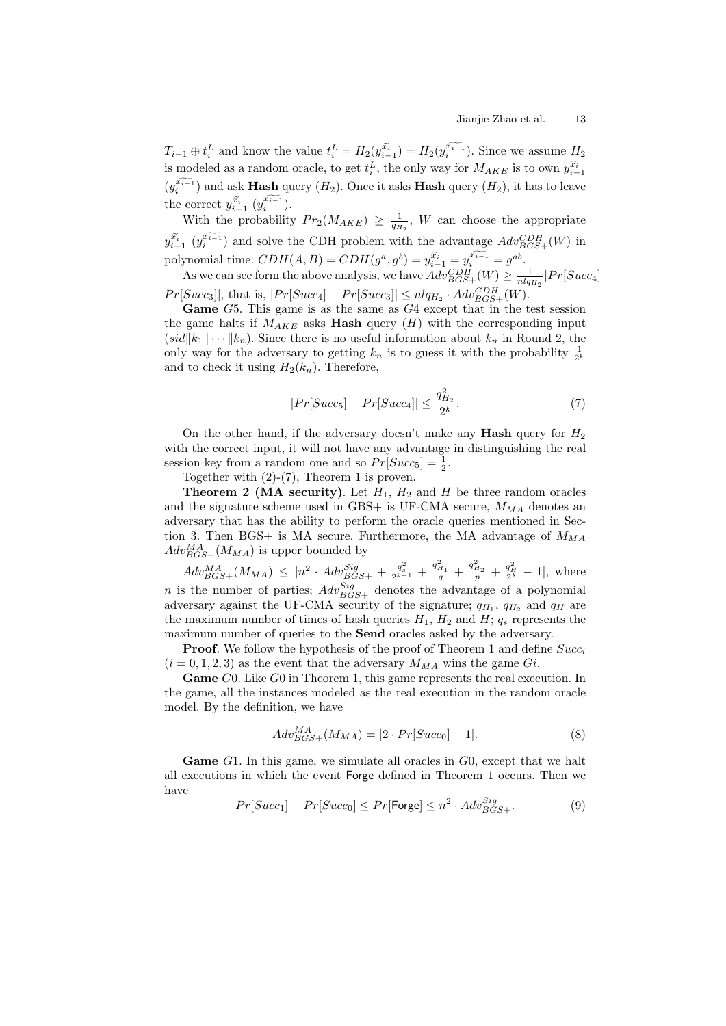Jianjie Zhao et al. 13<br>  $T_{i-1} \oplus t_i^L$  and know the value  $t_i^L = H_2(y_{i-1}^{\tilde{x}_{i-1}}) = H_2(y_i^{\tilde{x}_{i-1}})$ . Since we assume  $H_2$ <br>
is modeled as a random oracle, to get  $t_i^L$ , the only way for  $M_{AKE}$  is to own  $y_{i-1}^{\tilde{x}_{$  $\tilde{x_i}$ is modeled as a random oracle, to get  $t_i^L$ , the only way for  $M_{AKE}$  is to own  $y_{i-1}^{\tilde{x}_i}$  $\frac{L}{\tilde{x_i}}$  $(y_i^{x_{i-1}})$  and ask **Hash** query  $(H_2)$ . Once it asks **Hash** query  $(H_2)$ , it has to leave the correct  $y_{i-1}^{x_i} (y_i^{x_{i-1}})$ . s:<br>sl<br> $\tilde{x_i}$ ndor<br>n<mark>sh</mark><br>π—1

With the probability  $Pr_2(M_{AKE}) \geq \frac{1}{q_{H_2}}$ , *W* can choose the appropriate  $y_{i-1}^{x_i}$   $(y_i^{x_{i-1}})$  and solve the CDH problem with the advantage  $Adv_{BGS+}^{CDH}(W)$  in he $\widetilde{x_i}$ rect<br>
h tl<br>  $\widetilde{x_{i-1}}$ polynomial time:  $CDH(A, B) = CDH(g^a, g^b) = y_{i-1}^{x_i} = y_i^{x_{i-1}} = g^{ab}$ .  $e$ <br> $\tilde{x_i}$ noos<br>utage<br>∴−1

As we can see form the above analysis, we have  $Adv_{BGS+}(W) \ge \frac{1}{nlq_{H_2}}|Pr[Succ_4] Pr[Succ_3]$ , that is,  $|Pr[Succ_4] - Pr[Succ_3]| \leq n l q_{H_2} \cdot Adv_{BGS+}^{CDH}(W)$ .

Game G5. This game is as the same as G4 except that in the test session the game halts if  $M_{AKE}$  asks **Hash** query  $(H)$  with the corresponding input  $(id||k_1|| \cdots ||k_n)$ . Since there is no useful information about  $k_n$  in Round 2, the only way for the adversary to getting  $k_n$  is to guess it with the probability  $\frac{1}{2^k}$ and to check it using  $H_2(k_n)$ . Therefore,

$$
|Pr[Succ_5] - Pr[Succ_4]| \le \frac{q_{H_2}^2}{2^k}.
$$
 (7)

On the other hand, if the adversary doesn't make any **Hash** query for  $H_2$ with the correct input, it will not have any advantage in distinguishing the real session key from a random one and so  $Pr[Succ_5] = \frac{1}{2}$ .

Together with  $(2)-(7)$ , Theorem 1 is proven.

**Theorem 2 (MA security)**. Let  $H_1$ ,  $H_2$  and  $H$  be three random oracles and the signature scheme used in GBS+ is UF-CMA secure,  $M_{MA}$  denotes an adversary that has the ability to perform the oracle queries mentioned in Section 3. Then BGS+ is MA secure. Furthermore, the MA advantage of  $M_{MA}$  $Adv_{BGS+}^{MA}(M_{MA})$  is upper bounded by

 $Adv_{BGS+}^{MA} (M_{MA}) \leq |n^2 \cdot Adv_{BGS+}^{Sig} + \frac{q_{s}^2}{2^{k-1}} + \frac{q_{H_1}^2}{q} + \frac{q_{H_2}^2}{p} + \frac{q_{H}^2}{2^{\lambda}} - 1 |$ , where *n* is the number of parties;  $Adv_{BGS+}^{Sig}$  denotes the advantage of a polynomial adversary against the UF-CMA security of the signature;  $q_{H_1}$ ,  $q_{H_2}$  and  $q_H$  are the maximum number of times of hash queries  $H_1$ ,  $H_2$  and  $H$ ;  $q_s$  represents the maximum number of queries to the **Send** oracles asked by the adversary.

**Proof.** We follow the hypothesis of the proof of Theorem 1 and define  $Succ_i$  $(i = 0, 1, 2, 3)$  as the event that the adversary  $M_{MA}$  wins the game Gi.

**Game** G0. Like G0 in Theorem 1, this game represents the real execution. In the game, all the instances modeled as the real execution in the random oracle model. By the definition, we have

$$
Adv_{BGS+}^{MA}(M_{MA}) = |2 \cdot Pr[Succ_0] - 1|.
$$
 (8)

**Game** G1. In this game, we simulate all oracles in G0, except that we halt all executions in which the event Forge defined in Theorem 1 occurs. Then we have

$$
Pr[Succ_1] - Pr[Succ_0] \le Pr[\text{Forge}] \le n^2 \cdot Adv_{BGS+}^{Sig}.
$$
 (9)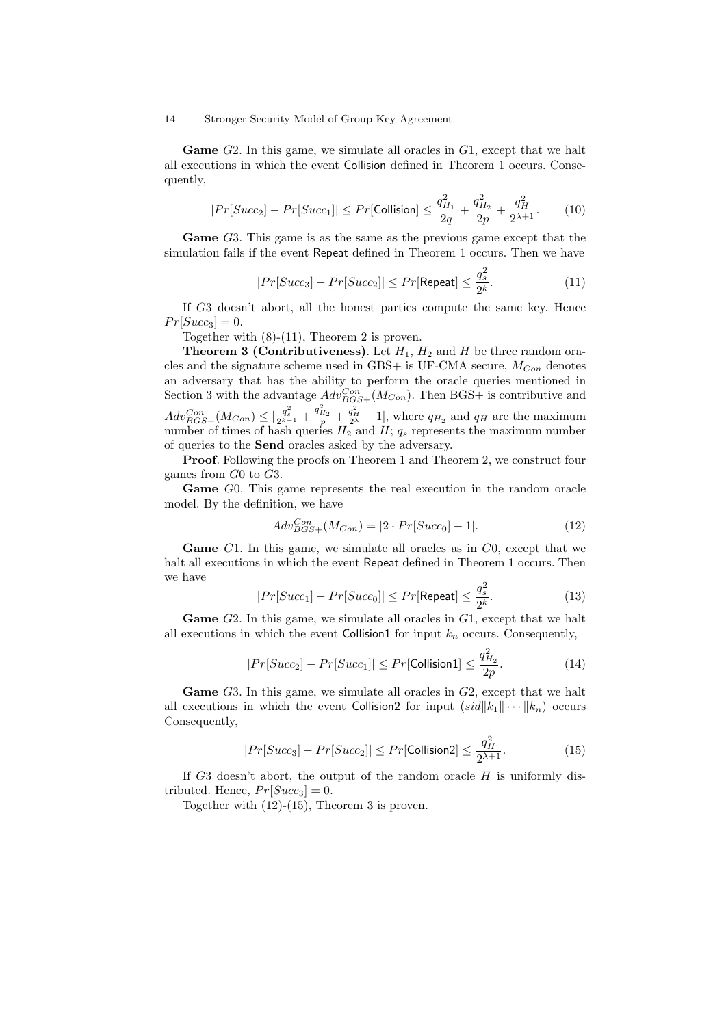**Game**  $G2$ . In this game, we simulate all oracles in  $G1$ , except that we halt all executions in which the event Collision defined in Theorem 1 occurs. Consequently,

$$
|Pr[Succ_2] - Pr[Succ_1]| \le Pr[\text{Collision}] \le \frac{q_{H_1}^2}{2q} + \frac{q_{H_2}^2}{2p} + \frac{q_H^2}{2^{\lambda+1}}.\tag{10}
$$

**Game** G3. This game is as the same as the previous game except that the simulation fails if the event Repeat defined in Theorem 1 occurs. Then we have

$$
|Pr[Succ_3] - Pr[Succ_2]| \le Pr[\text{Repeat}] \le \frac{q_s^2}{2^k}.
$$
 (11)

If  $G3$  doesn't abort, all the honest parties compute the same key. Hence  $Pr[Succ_3] = 0.$ 

Together with (8)-(11), Theorem 2 is proven.

**Theorem 3 (Contributiveness)**. Let  $H_1$ ,  $H_2$  and  $H$  be three random oracles and the signature scheme used in GBS+ is UF-CMA secure,  $M_{Con}$  denotes an adversary that has the ability to perform the oracle queries mentioned in Section 3 with the advantage  $Adv^{Con}_{BGS+}(M_{Con})$ . Then BGS+ is contributive and  $Adv_{BGS+}^{Con}(M_{Con}) \leq \left|\frac{q_s^2}{2^{k-1}} + \frac{q_{H_2}^2}{p} + \frac{q_H^2}{2^{\lambda}} - 1\right|$ , where  $q_{H_2}$  and  $q_H$  are the maximum number of times of hash queries  $H_2$  and  $H$ ;  $q_s$  represents the maximum number of queries to the **Send** oracles asked by the adversary.

**Proof.** Following the proofs on Theorem 1 and Theorem 2, we construct four games from  $G_0$  to  $G_3$ .

**Game** G0. This game represents the real execution in the random oracle model. By the definition, we have

$$
Adv_{BGS+}^{Con}(M_{Con}) = |2 \cdot Pr[Succ_0] - 1|.
$$
 (12)

**Game** G1. In this game, we simulate all oracles as in G0, except that we halt all executions in which the event Repeat defined in Theorem 1 occurs. Then we have

$$
|Pr[Succ_1] - Pr[Succ_0]| \le Pr[\text{Repeat}] \le \frac{q_s^2}{2^k}.
$$
 (13)

**Game** G2. In this game, we simulate all oracles in G1, except that we halt all executions in which the event Collision1 for input  $k_n$  occurs. Consequently,

$$
|Pr[Succ_2] - Pr[Succ_1]| \le Pr[\text{Collision1}] \le \frac{q_{H_2}^2}{2p}.
$$
 (14)

**Game** G3. In this game, we simulate all oracles in G2, except that we halt all executions in which the event Collision2 for input  $(id||k_1|| \cdots ||k_n)$  occurs Consequently,

$$
|Pr[Succ_3] - Pr[Succ_2]| \le Pr[\text{Collision2}] \le \frac{q_H^2}{2^{\lambda+1}}.\tag{15}
$$

If  $G3$  doesn't abort, the output of the random oracle  $H$  is uniformly distributed. Hence,  $Pr[Succ_3] = 0$ .

Together with (12)-(15), Theorem 3 is proven.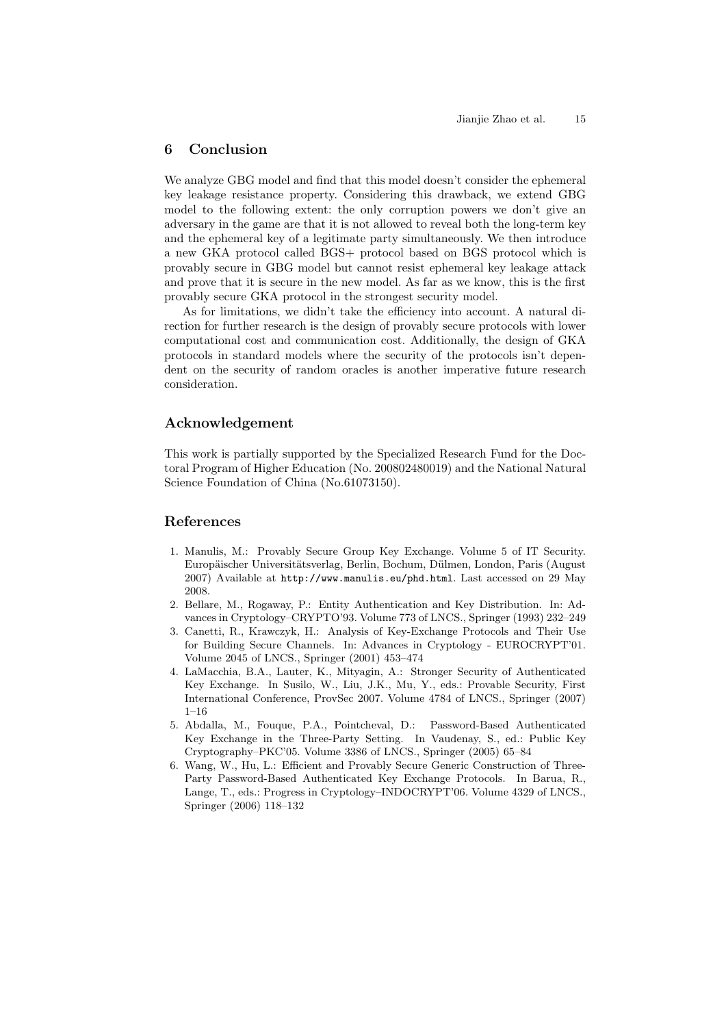## **6 Conclusion**

We analyze GBG model and find that this model doesn't consider the ephemeral key leakage resistance property. Considering this drawback, we extend GBG model to the following extent: the only corruption powers we don't give an adversary in the game are that it is not allowed to reveal both the long-term key and the ephemeral key of a legitimate party simultaneously. We then introduce a new GKA protocol called BGS+ protocol based on BGS protocol which is provably secure in GBG model but cannot resist ephemeral key leakage attack and prove that it is secure in the new model. As far as we know, this is the first provably secure GKA protocol in the strongest security model.

As for limitations, we didn't take the efficiency into account. A natural direction for further research is the design of provably secure protocols with lower computational cost and communication cost. Additionally, the design of GKA protocols in standard models where the security of the protocols isn't dependent on the security of random oracles is another imperative future research consideration.

## **Acknowledgement**

This work is partially supported by the Specialized Research Fund for the Doctoral Program of Higher Education (No. 200802480019) and the National Natural Science Foundation of China (No.61073150).

# **References**

- 1. Manulis, M.: Provably Secure Group Key Exchange. Volume 5 of IT Security. Europäischer Universitätsverlag, Berlin, Bochum, Dülmen, London, Paris (August 2007) Available at http://www.manulis.eu/phd.html. Last accessed on 29 May 2008.
- 2. Bellare, M., Rogaway, P.: Entity Authentication and Key Distribution. In: Advances in Cryptology–CRYPTO'93. Volume 773 of LNCS., Springer (1993) 232–249
- 3. Canetti, R., Krawczyk, H.: Analysis of Key-Exchange Protocols and Their Use for Building Secure Channels. In: Advances in Cryptology - EUROCRYPT'01. Volume 2045 of LNCS., Springer (2001) 453–474
- 4. LaMacchia, B.A., Lauter, K., Mityagin, A.: Stronger Security of Authenticated Key Exchange. In Susilo, W., Liu, J.K., Mu, Y., eds.: Provable Security, First International Conference, ProvSec 2007. Volume 4784 of LNCS., Springer (2007) 1–16
- 5. Abdalla, M., Fouque, P.A., Pointcheval, D.: Password-Based Authenticated Key Exchange in the Three-Party Setting. In Vaudenay, S., ed.: Public Key Cryptography–PKC'05. Volume 3386 of LNCS., Springer (2005) 65–84
- 6. Wang, W., Hu, L.: Efficient and Provably Secure Generic Construction of Three-Party Password-Based Authenticated Key Exchange Protocols. In Barua, R., Lange, T., eds.: Progress in Cryptology–INDOCRYPT'06. Volume 4329 of LNCS., Springer (2006) 118–132